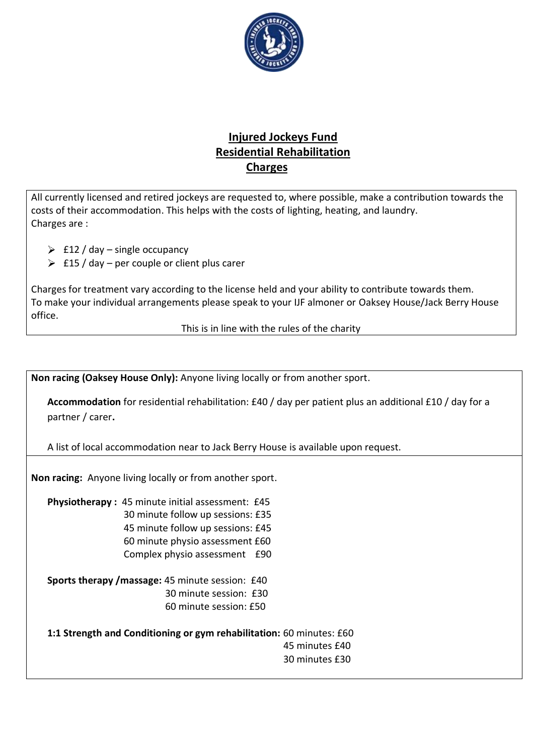

## **Injured Jockeys Fund Residential Rehabilitation Charges**

All currently licensed and retired jockeys are requested to, where possible, make a contribution towards the costs of their accommodation. This helps with the costs of lighting, heating, and laundry. Charges are :

- $\geqslant$  £12 / day single occupancy
- $\geq$  £15 / day per couple or client plus carer

Charges for treatment vary according to the license held and your ability to contribute towards them. To make your individual arrangements please speak to your IJF almoner or Oaksey House/Jack Berry House office.

This is in line with the rules of the charity

**Non racing (Oaksey House Only):** Anyone living locally or from another sport.

**Accommodation** for residential rehabilitation: £40 / day per patient plus an additional £10 / day for a partner / carer**.**

A list of local accommodation near to Jack Berry House is available upon request.

**Non racing:** Anyone living locally or from another sport.

**Physiotherapy :** 45 minute initial assessment: £45 30 minute follow up sessions: £35 45 minute follow up sessions: £45 60 minute physio assessment £60 Complex physio assessment £90

**Sports therapy /massage:** 45 minute session: £40 30 minute session: £30 60 minute session: £50

**1:1 Strength and Conditioning or gym rehabilitation:** 60 minutes: £60 45 minutes £40 30 minutes £30